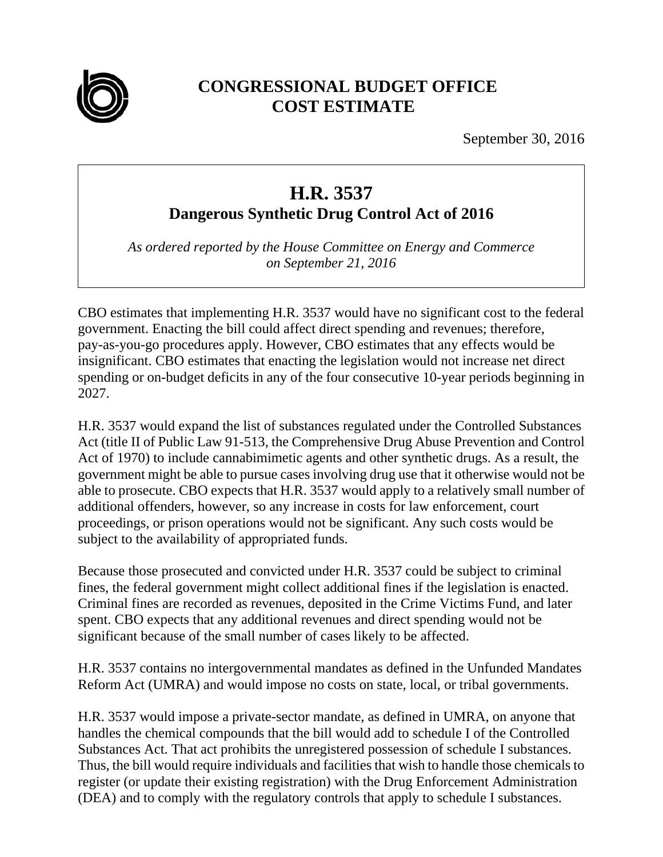

## **CONGRESSIONAL BUDGET OFFICE COST ESTIMATE**

September 30, 2016

## **H.R. 3537**

**Dangerous Synthetic Drug Control Act of 2016** 

*As ordered reported by the House Committee on Energy and Commerce on September 21, 2016* 

CBO estimates that implementing H.R. 3537 would have no significant cost to the federal government. Enacting the bill could affect direct spending and revenues; therefore, pay-as-you-go procedures apply. However, CBO estimates that any effects would be insignificant. CBO estimates that enacting the legislation would not increase net direct spending or on-budget deficits in any of the four consecutive 10-year periods beginning in 2027.

H.R. 3537 would expand the list of substances regulated under the Controlled Substances Act (title II of Public Law 91-513, the Comprehensive Drug Abuse Prevention and Control Act of 1970) to include cannabimimetic agents and other synthetic drugs. As a result, the government might be able to pursue cases involving drug use that it otherwise would not be able to prosecute. CBO expects that H.R. 3537 would apply to a relatively small number of additional offenders, however, so any increase in costs for law enforcement, court proceedings, or prison operations would not be significant. Any such costs would be subject to the availability of appropriated funds.

Because those prosecuted and convicted under H.R. 3537 could be subject to criminal fines, the federal government might collect additional fines if the legislation is enacted. Criminal fines are recorded as revenues, deposited in the Crime Victims Fund, and later spent. CBO expects that any additional revenues and direct spending would not be significant because of the small number of cases likely to be affected.

H.R. 3537 contains no intergovernmental mandates as defined in the Unfunded Mandates Reform Act (UMRA) and would impose no costs on state, local, or tribal governments.

H.R. 3537 would impose a private-sector mandate, as defined in UMRA, on anyone that handles the chemical compounds that the bill would add to schedule I of the Controlled Substances Act. That act prohibits the unregistered possession of schedule I substances. Thus, the bill would require individuals and facilities that wish to handle those chemicals to register (or update their existing registration) with the Drug Enforcement Administration (DEA) and to comply with the regulatory controls that apply to schedule I substances.